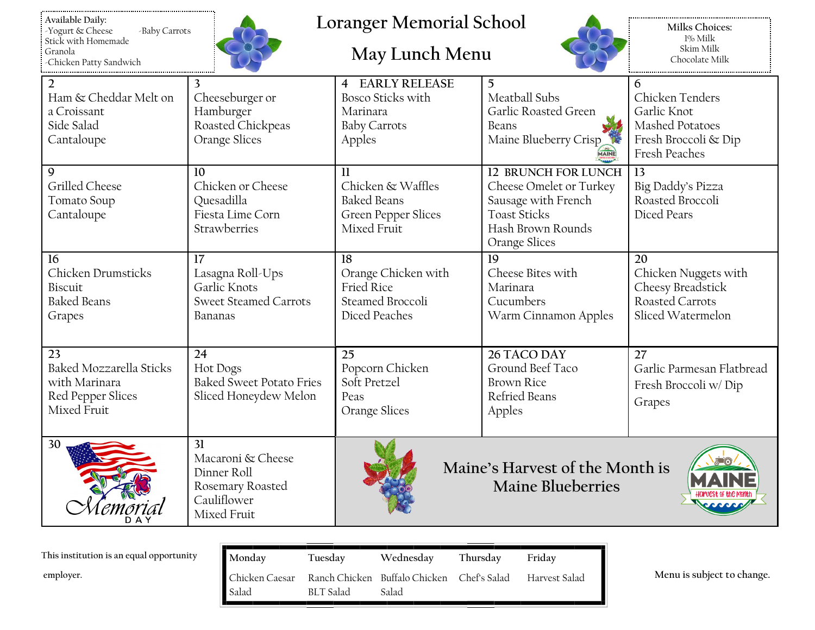

## **Loranger Memorial School**

## **May Lunch Menu**



**Milks Choices:** 1% Milk Skim Milk Chocolate Milk

| $\overline{2}$          | 3                               | <b>4 EARLY RELEASE</b>     | 5                               | 6                         |
|-------------------------|---------------------------------|----------------------------|---------------------------------|---------------------------|
| Ham & Cheddar Melt on   | Cheeseburger or                 | Bosco Sticks with          | Meatball Subs                   | Chicken Tenders           |
| a Croissant             | Hamburger                       | Marinara                   | Garlic Roasted Green            | Garlic Knot               |
| Side Salad              | Roasted Chickpeas               | <b>Baby Carrots</b>        | Beans                           | Mashed Potatoes           |
| Cantaloupe              | Orange Slices                   | Apples                     | Maine Blueberry Crisp           | Fresh Broccoli & Dip      |
|                         |                                 |                            | MAINE                           | <b>Fresh Peaches</b>      |
| $\mathbf Q$             | 10                              | $\mathbf{1}$               | 12 BRUNCH FOR LUNCH             | 13                        |
| Grilled Cheese          | Chicken or Cheese               | Chicken & Waffles          | Cheese Omelet or Turkey         | Big Daddy's Pizza         |
| Tomato Soup             | Quesadilla                      | <b>Baked Beans</b>         | Sausage with French             | Roasted Broccoli          |
| Cantaloupe              | Fiesta Lime Corn                | <b>Green Pepper Slices</b> | <b>Toast Sticks</b>             | Diced Pears               |
|                         | Strawberries                    | Mixed Fruit                | Hash Brown Rounds               |                           |
|                         |                                 |                            | Orange Slices                   |                           |
| 16                      | 17                              | 18                         | 19                              | 20                        |
| Chicken Drumsticks      | Lasagna Roll-Ups                | Orange Chicken with        | Cheese Bites with               | Chicken Nuggets with      |
| Biscuit                 | Garlic Knots                    | Fried Rice                 | Marinara                        | Cheesy Breadstick         |
| <b>Baked Beans</b>      | <b>Sweet Steamed Carrots</b>    | Steamed Broccoli           | Cucumbers                       | Roasted Carrots           |
| Grapes                  | Bananas                         | Diced Peaches              | Warm Cinnamon Apples            | Sliced Watermelon         |
|                         |                                 |                            |                                 |                           |
|                         |                                 |                            |                                 |                           |
| 23                      | 24                              | 25                         | 26 TACO DAY                     | 27                        |
| Baked Mozzarella Sticks | <b>Hot Dogs</b>                 | Popcorn Chicken            | Ground Beef Taco                | Garlic Parmesan Flatbread |
| with Marinara           | <b>Baked Sweet Potato Fries</b> | Soft Pretzel               | <b>Brown Rice</b>               | Fresh Broccoli w/Dip      |
| Red Pepper Slices       | Sliced Honeydew Melon           | Peas                       | Refried Beans                   | Grapes                    |
| Mixed Fruit             |                                 | Orange Slices              | Apples                          |                           |
|                         |                                 |                            |                                 |                           |
| 30                      | 31                              |                            |                                 |                           |
|                         | Macaroni & Cheese               |                            |                                 |                           |
|                         | Dinner Roll                     |                            | Maine's Harvest of the Month is |                           |
|                         | Rosemary Roasted                |                            | <b>Maine Blueberries</b>        |                           |
|                         | Cauliflower                     |                            |                                 |                           |
|                         | Mixed Fruit                     |                            |                                 |                           |
|                         |                                 |                            |                                 |                           |

| This institution is an equal opportunity | Monday                  | Tuesday   | Wednesday                                           | Thursdav | Friday        |
|------------------------------------------|-------------------------|-----------|-----------------------------------------------------|----------|---------------|
| employer.                                | Chicken Caesar<br>Salad | BLT Salad | Ranch Chicken Buffalo Chicken Chef's Salad<br>Salad |          | Harvest Salad |

**employer. Menu is subject to change.**